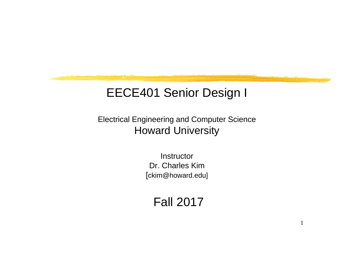## EECE401 Senior Design I

Electrical Engineering and Computer Science Howard University

> Instructor Dr. Charles Kim [ckim@howard.edu]

## Fall 2017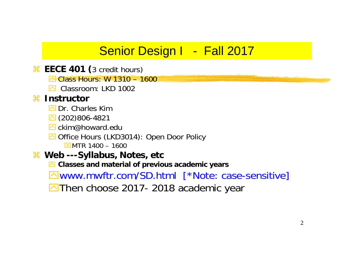## Senior Design I - Fall 2017

- **A EECE 401 (3 credit hours)** 
	- $\triangle$  Class Hours: W 1310 1600
	- **sqrt** Classroom: LKD 1002

#### **米 Instructor**

- **E** Dr. Charles Kim
- $\boxed{\triangle}$  (202)806-4821
- **O** ckim@howard.edu
- Office Hours (LKD3014): Open Door Policy  $X$ MTR 1400 – 1600
- $\frac{12}{16}$  Web ---Syllabus, Notes, etc
	- $\boxed{\sim}$  **Classes and material of previous academic years**

**⊠www.mwftr.com/SD.html** [\*Note: case-sensitive]

 $\boxed{\triangle}$  Then choose 2017- 2018 academic year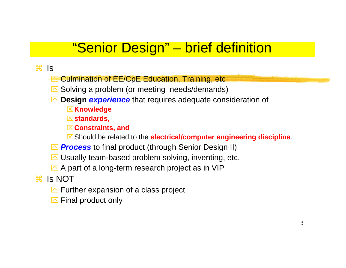# "Senior Design" – brief definition

- $\frac{1}{2}$  Is
	- **E** Culmination of EE/CpE Education, Training, etc
	- $\boxed{\sim}$  Solving a problem (or meeting needs/demands)
	- **<sup>△</sup> Design experience** that requires adequate consideration of
		- ⌧**Knowledge**
		- ⌧**standards,**
		- ⌧**Constraints, and**
		- ⌧Should be related to the **electrical/computer engineering discipline**.
	- **<sup>△</sup> Process** to final product (through Senior Design II)
	- $\boxdot$  Usually team-based problem solving, inventing, etc.
	- $\Box$  A part of a long-term research project as in VIP
- $\frac{1}{26}$  Is NOT
	- $\Box$  Further expansion of a class project
	- $\Box$  Final product only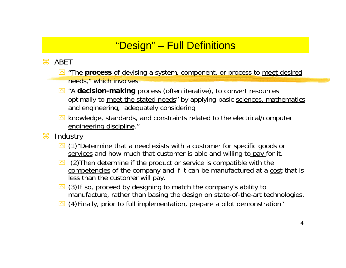#### "Design" – Full Definitions

#### $\frac{1}{2}$  ABET

- $\blacksquare$  "The **process** of devising a system, component, or process to meet desired needs," which involves
- <sup>2</sup> "A **decision-making** process (often *iterative*), to convert resources optimally to meet the stated needs" by applying basic sciences, mathematics and engineering, adequately considering
- **M** knowledge, standards, and constraints related to the electrical/computer engineering discipline."
- $\mathcal{H}$ **Industry** 
	- $\Box$  (1) "Determine that a need exists with a customer for specific goods or services and how much that customer is able and willing to pay for it.
	- $\Box$  (2) Then determine if the product or service is compatible with the competencies of the company and if it can be manufactured at a cost that is less than the customer will pay.
	- $\Box$  (3)If so, proceed by designing to match the company's ability to manufacture, rather than basing the design on state-of-the-art technologies.
	- **8** (4) Finally, prior to full implementation, prepare a pilot demonstration"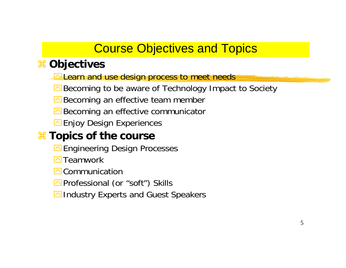## Course Objectives and Topics

#### a **Objectives**

- **Extern and use design process to meet needs**
- **△Becoming to be aware of Technology Impact to Society**
- $\triangle$  Becoming an effective team member
- $\triangle$  Becoming an effective communicator
- $\Box$  Enjoy Design Experiences

#### $*$  **Topics of the course**

- **Engineering Design Processes**
- $\overline{\phantom{a}}$ Teamwork
- $\overline{\curvearrowright}$  Communication
- **E**Professional (or "soft") Skills
- $\triangleright$ Industry Experts and Guest Speakers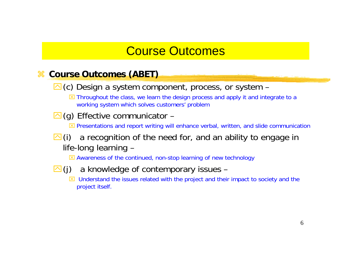## Course Outcomes

#### $*$  Course Outcomes (ABET)

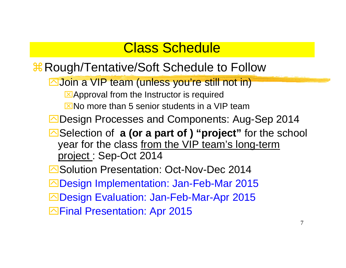# Class Schedule

- *X* Rough/Tentative/Soft Schedule to Follow
	- **Noin a VIP team (unless you're still not in)** 
		- $\Sigma$ Approval from the Instructor is required
		- $\overline{X}$ No more than 5 senior students in a VIP team
	- **ODesign Processes and Components: Aug-Sep 2014**
	- ■Selection of **a (or a part of ) "project"** for the school year for the class from the VIP team's long-term project : Sep-Oct 2014
	- **E**Solution Presentation: Oct-Nov-Dec 2014 **△Design Implementation: Jan-Feb-Mar 2015 △Design Evaluation: Jan-Feb-Mar-Apr 2015**
	- **Example Presentation: Apr 2015**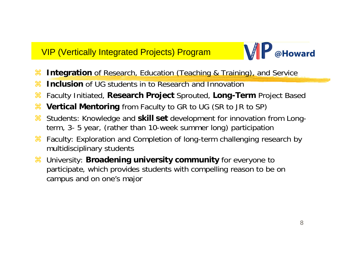#### VIP (Vertically Integrated Projects) Program



- a**Integration** of Research, Education (Teaching & Training), and Service
- $\mathcal{H}$ **Inclusion** of UG students in to Research and Innovation
- $\mathcal{H}$ Faculty Initiated, **Research Project** Sprouted, **Long-Term** Project Based
- $\mathcal{H}$ **Vertical Mentoring** from Faculty to GR to UG (SR to JR to SP)
- a Students: Knowledge and **skill set** development for innovation from Longterm, 3- 5 year, (rather than 10-week summer long) participation
- $\mathcal{H}$  Faculty: Exploration and Completion of long-term challenging research by multidisciplinary students
- $\mathcal{H}$  University: **Broadening university community** for everyone to participate, which provides students with compelling reason to be on campus and on one's major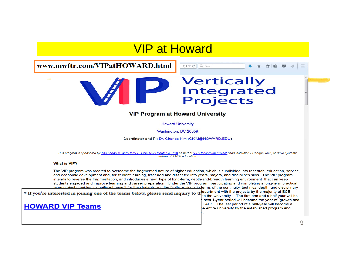#### VIP at Howard

www.mwftr.com/VIPatHOWARD.html



# **Vertically<br>Integrated<br>Projects**

 $\Box \nabla \subset \Box$  Q Search

#### **VIP Program at Howard University**

**Howard University** 

Washington, DC 20059

Coordinator and PI: Dr. Charles Kim (CKIM@HOWARD.EDU)

This program is sponsored by The Leona M. and Harry B. Helmsley Charitable Trust as part of VIP Consortium Project (lead institution - Georgia Tech) to drive systemic reform of STEM education.

What is VIP?:

The VIP program was created to overcome the fragmented nature of higher education, which is subdivided into research, education, service, and economic development and, for student learning, fractured and dissected into years, majors, and disciplines silos. The VIP program intends to reverse the fragmentation, and introduces a new type of long-term, depth-and-breadth learning environment that can keep students engaged and improve learning and career preparation. Under the VIP program, participating and completing a long-term practical team project provides a significant benefit for the students and the faulty advisors in terms of the continuity, technical depth, and disciplinary

\* If you're interested in joining one of the teams below, please send inquiry to the projects by the majority of ECE

#### **HOWARD VIP Teams**

to the University. The first one and a half year will be next 1-year period will become the year of "growth and EACS. The last period of a half-year will become a he entire university by the established program and

 $\equiv$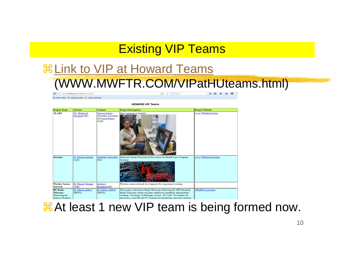## Existing VIP Teams

# aLink to VIP at Howard Teams (WWW.MWFTR.COM/VIPatHUteams.html)

 $E1 | C | Q$  Search ☆自→合◎ ← ① www.mwftr.com/VIPatHUteams.html **PI** Most Visited **@** Getting Started **all** Latest Headlines



#### $\frac{1}{26}$ **At least 1 new VIP team is being formed now.**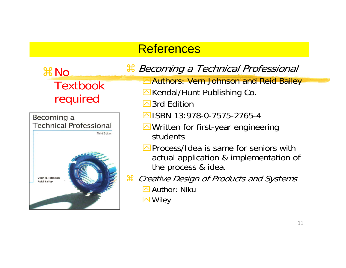#### **References**

aNo **Textbook** required



#### $^n$  Becoming a Technical Professional

- **Authors: Vern Johnson and Reid Bailey**
- $\Box$ Kendal/Hunt Publishing Co.
- **<u>⊠</u>3rd Edition**
- $\sqrt{ }$ ISBN 13:978-0-7575-2765-4
- $\Box$  Written for first-year engineering students
- $\triangleright$  Process/Idea is same for seniors with actual application & implementation of the process & idea.
- $\mathfrak{X}$  Creative Design of Products and Systems
	- **E** Author: Niku
	- **⊠** Wiley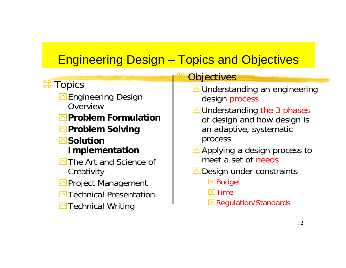# Engineering Design – Topics and Objectives

|                                                                                                                                                                                                                                                                                                                   | <b>Objectives</b>                                                                                                                                                                                                                                                                                                                       |
|-------------------------------------------------------------------------------------------------------------------------------------------------------------------------------------------------------------------------------------------------------------------------------------------------------------------|-----------------------------------------------------------------------------------------------------------------------------------------------------------------------------------------------------------------------------------------------------------------------------------------------------------------------------------------|
| <b>H</b> Topics<br><b>△</b> Engineering Design<br>Overview<br><b>△Problem Formulation</b><br><b>△Problem Solving</b><br><b>⊠Solution</b><br><b>Implementation</b><br><b>△The Art and Science of</b><br>Creativity<br><b>△</b> Project Management<br><b>△ Technical Presentation</b><br><b>E</b> Technical Writing | <b>△</b> Understanding an engineering<br>design process<br>$\Box$ Understanding the 3 phases<br>of design and how design is<br>an adaptive, systematic<br>process<br>$\triangle$ Applying a design process to<br>meet a set of needs<br>$\Box$ Design under constraints<br>⊠Budget<br>$\boxtimes$ Time<br><b>EXPEQUIAtion/Standards</b> |
|                                                                                                                                                                                                                                                                                                                   |                                                                                                                                                                                                                                                                                                                                         |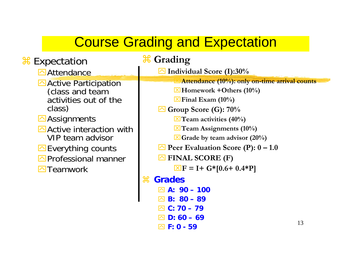# Course Grading and Expectation

| <b>H</b> Expectation                                                                                                                                                  | <b># Grading</b>                                                                                                                                                                                                                                                                   |
|-----------------------------------------------------------------------------------------------------------------------------------------------------------------------|------------------------------------------------------------------------------------------------------------------------------------------------------------------------------------------------------------------------------------------------------------------------------------|
| <b>△</b> Attendance                                                                                                                                                   | $\Delta$ Individual Score (I):30%                                                                                                                                                                                                                                                  |
| Active Participation<br>(class and team<br>activities out of the<br>class)<br>$\triangle$ Assignments<br>$\triangleright$ Active interaction with<br>VIP team advisor | $\blacktriangleright$ Attendance (10%): only on-time arrival counts<br>$\boxtimes$ Homework +Others (10%)<br>$\boxtimes$ Final Exam (10%)<br>$\Box$ Group Score (G): 70%<br>$\Xi$ Team activities (40%)<br>$\Xi$ Team Assignments (10%)<br>$\boxtimes$ Grade by team advisor (20%) |
| $\Box$ Everything counts                                                                                                                                              | $\triangleright$ Peer Evaluation Score (P): $0 - 1.0$                                                                                                                                                                                                                              |
| <b>△</b> Professional manner                                                                                                                                          | $\triangleright$ FINAL SCORE (F)                                                                                                                                                                                                                                                   |
| $\Box$ Teamwork                                                                                                                                                       | $\boxed{\times}$ F = I+ G*[0.6+ 0.4*P]                                                                                                                                                                                                                                             |
|                                                                                                                                                                       | $\mathfrak{X}$<br><b>Grades</b>                                                                                                                                                                                                                                                    |
|                                                                                                                                                                       | $\oslash$ A: 90 – 100                                                                                                                                                                                                                                                              |
|                                                                                                                                                                       | $\boxtimes$ B: 80 – 89                                                                                                                                                                                                                                                             |
|                                                                                                                                                                       | □ C: 70 – 79                                                                                                                                                                                                                                                                       |
|                                                                                                                                                                       | $D: 60 - 69$<br>13                                                                                                                                                                                                                                                                 |
|                                                                                                                                                                       | $\boxtimes$ F: 0 - 59                                                                                                                                                                                                                                                              |